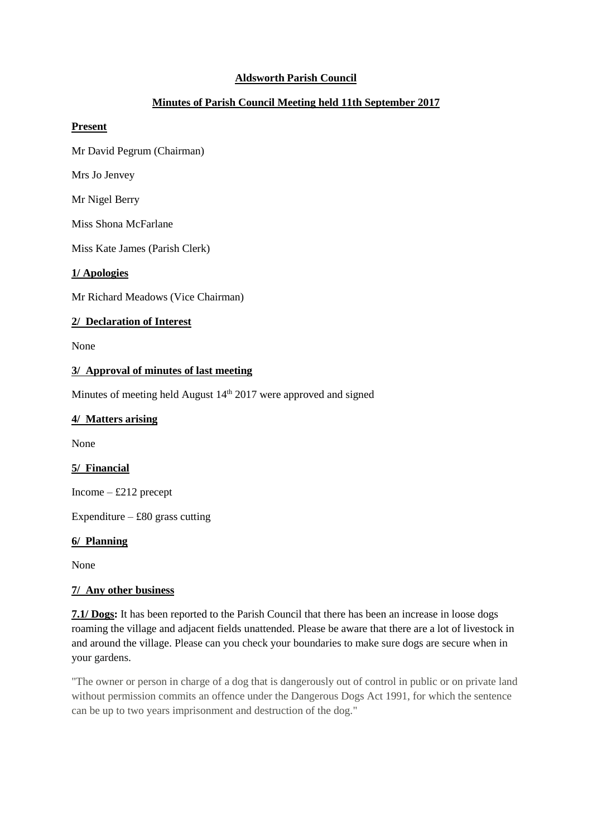## **Aldsworth Parish Council**

# **Minutes of Parish Council Meeting held 11th September 2017**

#### **Present**

Mr David Pegrum (Chairman)

Mrs Jo Jenvey

Mr Nigel Berry

Miss Shona McFarlane

Miss Kate James (Parish Clerk)

#### **1/ Apologies**

Mr Richard Meadows (Vice Chairman)

### **2/ Declaration of Interest**

None

#### **3/ Approval of minutes of last meeting**

Minutes of meeting held August 14<sup>th</sup> 2017 were approved and signed

#### **4/ Matters arising**

None

### **5/ Financial**

Income – £212 precept

Expenditure –  $\text{\pounds}80$  grass cutting

#### **6/ Planning**

None

### **7/ Any other business**

**7.1/ Dogs:** It has been reported to the Parish Council that there has been an increase in loose dogs roaming the village and adjacent fields unattended. Please be aware that there are a lot of livestock in and around the village. Please can you check your boundaries to make sure dogs are secure when in your gardens.

"The owner or person in charge of a dog that is dangerously out of control in public or on private land without permission commits an offence under the Dangerous Dogs Act 1991, for which the sentence can be up to two years imprisonment and destruction of the dog."